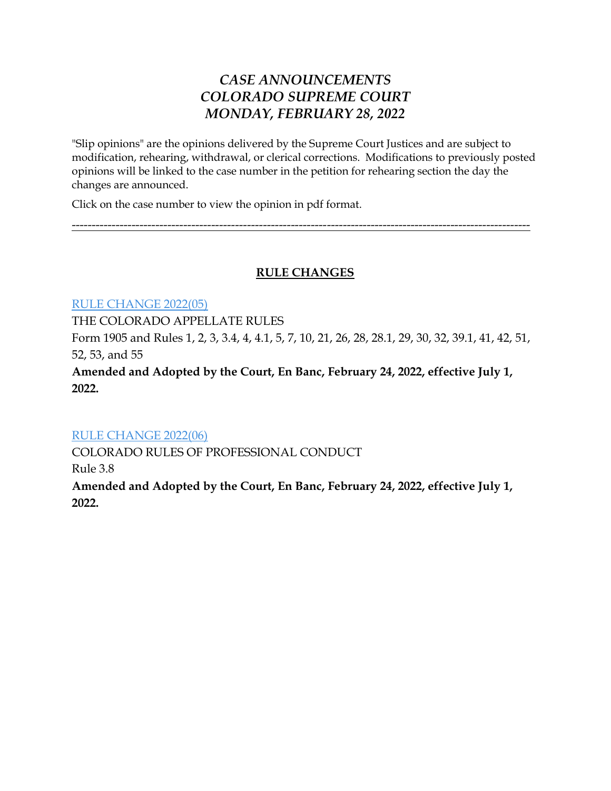# *CASE ANNOUNCEMENTS COLORADO SUPREME COURT MONDAY, FEBRUARY 28, 2022*

"Slip opinions" are the opinions delivered by the Supreme Court Justices and are subject to modification, rehearing, withdrawal, or clerical corrections. Modifications to previously posted opinions will be linked to the case number in the petition for rehearing section the day the changes are announced.

Click on the case number to view the opinion in pdf format.

-------------------------------------------------------------------------------------------------------------------

## **RULE CHANGES**

[RULE CHANGE 2022\(05\)](https://www.courts.state.co.us/userfiles/file/Court_Probation/Supreme_Court/Rule_Changes/2022/Rule%20Change%202022(05).pdf)

THE COLORADO APPELLATE RULES

Form 1905 and Rules 1, 2, 3, 3.4, 4, 4.1, 5, 7, 10, 21, 26, 28, 28.1, 29, 30, 32, 39.1, 41, 42, 51, 52, 53, and 55

**Amended and Adopted by the Court, En Banc, February 24, 2022, effective July 1, 2022.** 

#### [RULE CHANGE 2022\(06\)](https://www.courts.state.co.us/userfiles/file/Court_Probation/Supreme_Court/Rule_Changes/2022/Rule%20Change%202022(06).pdf)

COLORADO RULES OF PROFESSIONAL CONDUCT Rule 3.8 **Amended and Adopted by the Court, En Banc, February 24, 2022, effective July 1, 2022.**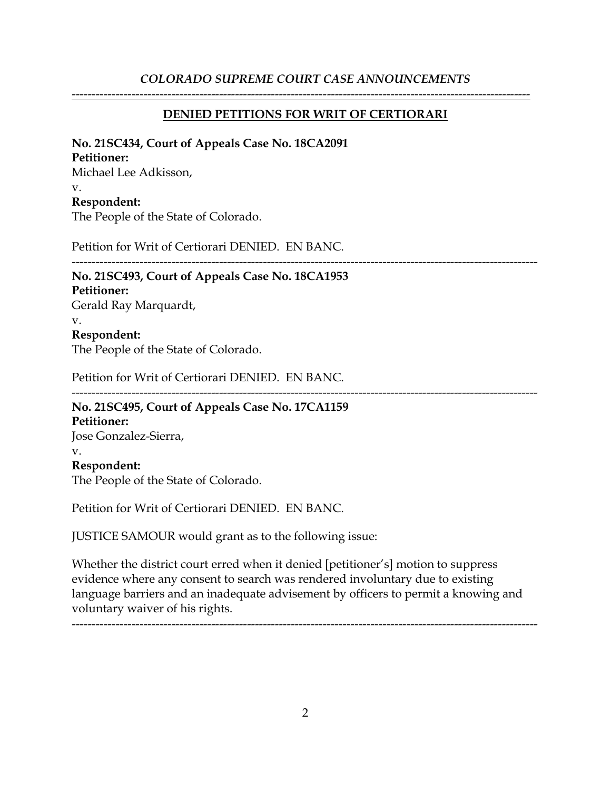#### *COLORADO SUPREME COURT CASE ANNOUNCEMENTS*

#### **DENIED PETITIONS FOR WRIT OF CERTIORARI**

-------------------------------------------------------------------------------------------------------------------

#### **No. 21SC434, Court of Appeals Case No. 18CA2091**

#### **Petitioner:**

Michael Lee Adkisson, v. **Respondent:** The People of the State of Colorado.

Petition for Writ of Certiorari DENIED. EN BANC.

## ---------------------------------------------------------------------------------------------------------------------

# **No. 21SC493, Court of Appeals Case No. 18CA1953 Petitioner:**

Gerald Ray Marquardt, v. **Respondent:**

The People of the State of Colorado.

Petition for Writ of Certiorari DENIED. EN BANC.

#### ---------------------------------------------------------------------------------------------------------------------

#### **No. 21SC495, Court of Appeals Case No. 17CA1159 Petitioner:** Jose Gonzalez-Sierra, v.

#### **Respondent:**

The People of the State of Colorado.

Petition for Writ of Certiorari DENIED. EN BANC.

JUSTICE SAMOUR would grant as to the following issue:

Whether the district court erred when it denied [petitioner's] motion to suppress evidence where any consent to search was rendered involuntary due to existing language barriers and an inadequate advisement by officers to permit a knowing and voluntary waiver of his rights.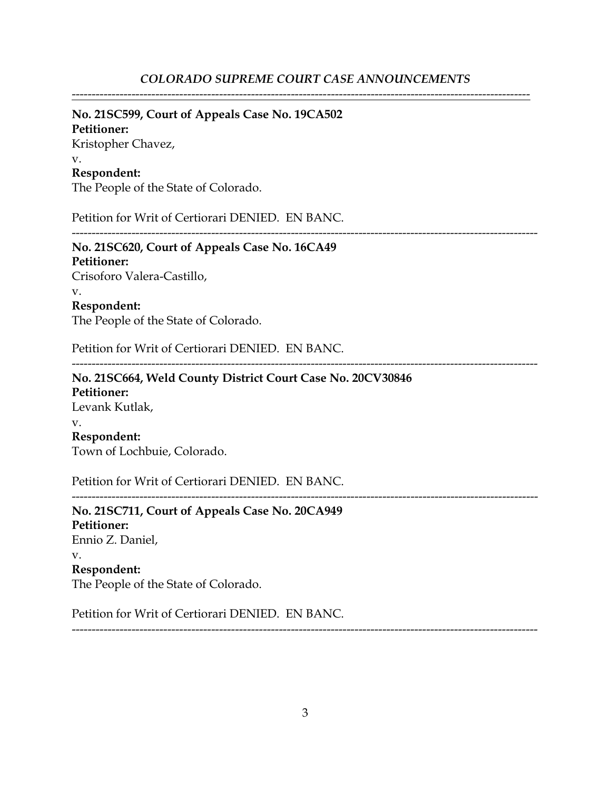-------------------------------------------------------------------------------------------------------------------

#### **No. 21SC599, Court of Appeals Case No. 19CA502**

**Petitioner:** Kristopher Chavez, v. **Respondent:**

The People of the State of Colorado.

Petition for Writ of Certiorari DENIED. EN BANC.

---------------------------------------------------------------------------------------------------------------------

---------------------------------------------------------------------------------------------------------------------

**No. 21SC620, Court of Appeals Case No. 16CA49 Petitioner:** Crisoforo Valera-Castillo, v.

**Respondent:**

The People of the State of Colorado.

Petition for Writ of Certiorari DENIED. EN BANC.

**No. 21SC664, Weld County District Court Case No. 20CV30846 Petitioner:** Levank Kutlak, v. **Respondent:** Town of Lochbuie, Colorado.

Petition for Writ of Certiorari DENIED. EN BANC.

**No. 21SC711, Court of Appeals Case No. 20CA949 Petitioner:** Ennio Z. Daniel, v. **Respondent:** The People of the State of Colorado.

Petition for Writ of Certiorari DENIED. EN BANC.

---------------------------------------------------------------------------------------------------------------------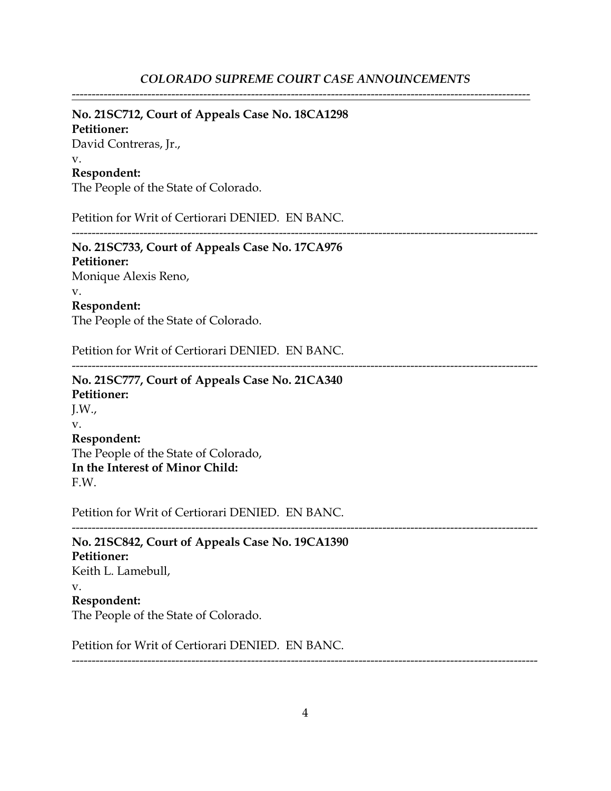-------------------------------------------------------------------------------------------------------------------

#### **No. 21SC712, Court of Appeals Case No. 18CA1298**

**Petitioner:** David Contreras, Jr., v. **Respondent:**

The People of the State of Colorado.

Petition for Writ of Certiorari DENIED. EN BANC.

---------------------------------------------------------------------------------------------------------------------

# **No. 21SC733, Court of Appeals Case No. 17CA976**

**Petitioner:** Monique Alexis Reno, v. **Respondent:**

The People of the State of Colorado.

Petition for Writ of Certiorari DENIED. EN BANC.

---------------------------------------------------------------------------------------------------------------------

## **No. 21SC777, Court of Appeals Case No. 21CA340 Petitioner:** J.W., v. **Respondent:** The People of the State of Colorado, **In the Interest of Minor Child:** F.W.

Petition for Writ of Certiorari DENIED. EN BANC.

--------------------------------------------------------------------------------------------------------------------- **No. 21SC842, Court of Appeals Case No. 19CA1390 Petitioner:** Keith L. Lamebull, v. **Respondent:** The People of the State of Colorado.

Petition for Writ of Certiorari DENIED. EN BANC.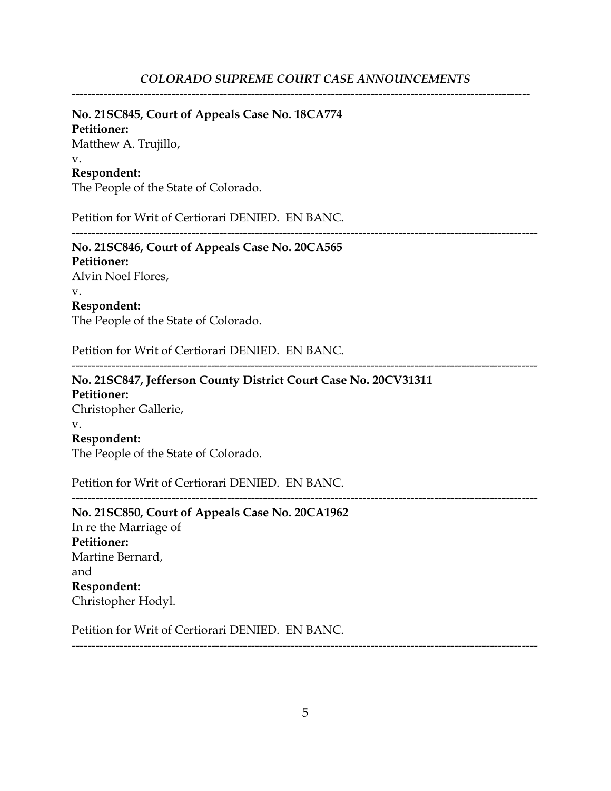-------------------------------------------------------------------------------------------------------------------

#### **No. 21SC845, Court of Appeals Case No. 18CA774**

**Petitioner:** Matthew A. Trujillo, v. **Respondent:**

The People of the State of Colorado.

Petition for Writ of Certiorari DENIED. EN BANC.

---------------------------------------------------------------------------------------------------------------------

**No. 21SC846, Court of Appeals Case No. 20CA565 Petitioner:** Alvin Noel Flores, v. **Respondent:** The People of the State of Colorado.

Petition for Writ of Certiorari DENIED. EN BANC.

---------------------------------------------------------------------------------------------------------------------

**No. 21SC847, Jefferson County District Court Case No. 20CV31311 Petitioner:** Christopher Gallerie, v. **Respondent:** The People of the State of Colorado.

Petition for Writ of Certiorari DENIED. EN BANC.

**No. 21SC850, Court of Appeals Case No. 20CA1962** In re the Marriage of **Petitioner:** Martine Bernard, and **Respondent:** Christopher Hodyl.

Petition for Writ of Certiorari DENIED. EN BANC.

---------------------------------------------------------------------------------------------------------------------